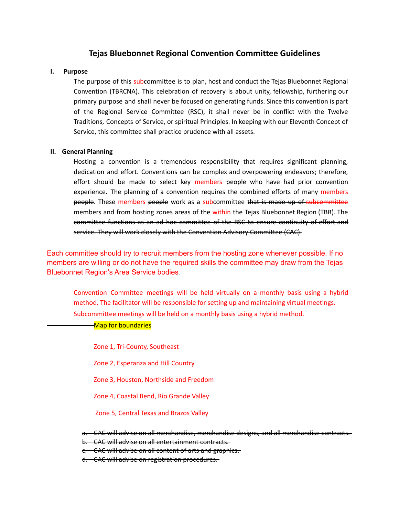## **Tejas Bluebonnet Regional Convention Committee Guidelines**

#### **I. Purpose**

The purpose of this subcommittee is to plan, host and conduct the Tejas Bluebonnet Regional Convention (TBRCNA). This celebration of recovery is about unity, fellowship, furthering our primary purpose and shall never be focused on generating funds. Since this convention is part of the Regional Service Committee (RSC), it shall never be in conflict with the Twelve Traditions, Concepts of Service, or spiritual Principles. In keeping with our Eleventh Concept of Service, this committee shall practice prudence with all assets.

#### **II. General Planning**

Hosting a convention is a tremendous responsibility that requires significant planning, dedication and effort. Conventions can be complex and overpowering endeavors; therefore, effort should be made to select key members people who have had prior convention experience. The planning of a convention requires the combined efforts of many members people. These members people work as a subcommittee that is made up of subcommittee members and from hosting zones areas of the within the Tejas Bluebonnet Region (TBR). The committee functions as an ad hoc committee of the RSC to ensure continuity of effort and service. They will work closely with the Convention Advisory Committee (CAC).

Each committee should try to recruit members from the hosting zone whenever possible. If no members are willing or do not have the required skills the committee may draw from the Tejas Bluebonnet Region's Area Service bodies.

Convention Committee meetings will be held virtually on a monthly basis using a hybrid method. The facilitator will be responsible for setting up and maintaining virtual meetings. Subcommittee meetings will be held on a monthly basis using a hybrid method.

-Map for boundaries

Zone 1, Tri-County, Southeast Zone 2, Esperanza and Hill Country Zone 3, Houston, Northside and Freedom Zone 4, Coastal Bend, Rio Grande Valley Zone 5, Central Texas and Brazos Valley a. CAC will advise on all merchandise, merchandise designs, and all merchandise contracts. b. CAC will advise on all entertainment contracts. c. CAC will advise on all content of arts and graphics.

d. CAC will advise on registration procedures.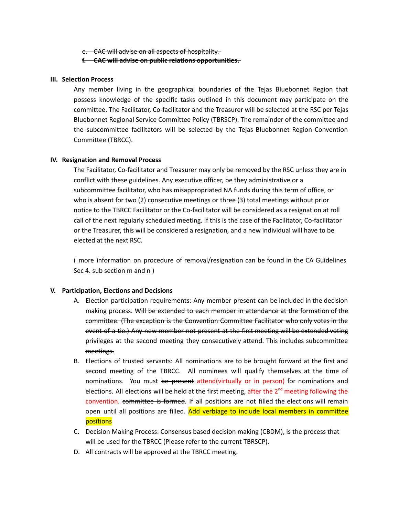e. CAC will advise on all aspects of hospitality.

### **f. CAC will advise on public relations opportunities.**

### **III. Selection Process**

Any member living in the geographical boundaries of the Tejas Bluebonnet Region that possess knowledge of the specific tasks outlined in this document may participate on the committee. The Facilitator, Co-facilitator and the Treasurer will be selected at the RSC per Tejas Bluebonnet Regional Service Committee Policy (TBRSCP). The remainder of the committee and the subcommittee facilitators will be selected by the Tejas Bluebonnet Region Convention Committee (TBRCC).

## **IV. Resignation and Removal Process**

The Facilitator, Co-facilitator and Treasurer may only be removed by the RSC unless they are in conflict with these guidelines. Any executive officer, be they administrative or a subcommittee facilitator, who has misappropriated NA funds during this term of office, or who is absent for two (2) consecutive meetings or three (3) total meetings without prior notice to the TBRCC Facilitator or the Co-facilitator will be considered as a resignation at roll call of the next regularly scheduled meeting. If this is the case of the Facilitator, Co-facilitator or the Treasurer, this will be considered a resignation, and a new individual will have to be elected at the next RSC.

( more information on procedure of removal/resignation can be found in the CA Guidelines Sec 4. sub section m and n )

## **V. Participation, Elections and Decisions**

- A. Election participation requirements: Any member present can be included in the decision making process. Will be extended to each member in attendance at the formation of the committee. (The exception is the Convention Committee Facilitator who only votes in the event of a tie.) Any new member not present at the first meeting will be extended voting privileges at the second meeting they consecutively attend. This includes subcommittee meetings.
- B. Elections of trusted servants: All nominations are to be brought forward at the first and second meeting of the TBRCC. All nominees will qualify themselves at the time of nominations. You must be present attend(virtually or in person) for nominations and elections. All elections will be held at the first meeting, after the 2<sup>nd</sup> meeting following the convention. committee is formed. If all positions are not filled the elections will remain open until all positions are filled. Add verbiage to include local members in committee positions
- C. Decision Making Process: Consensus based decision making (CBDM), is the process that will be used for the TBRCC (Please refer to the current TBRSCP).
- D. All contracts will be approved at the TBRCC meeting.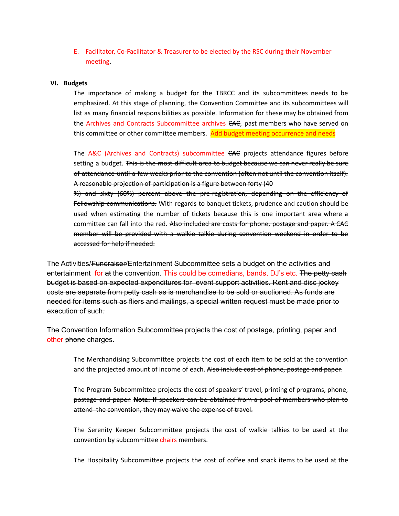E. Facilitator, Co-Facilitator & Treasurer to be elected by the RSC during their November meeting.

#### **VI. Budgets**

The importance of making a budget for the TBRCC and its subcommittees needs to be emphasized. At this stage of planning, the Convention Committee and its subcommittees will list as many financial responsibilities as possible. Information for these may be obtained from the Archives and Contracts Subcommittee archives CAC, past members who have served on this committee or other committee members. Add budget meeting occurrence and needs

The A&C (Archives and Contracts) subcommittee CAC projects attendance figures before setting a budget. This is the most difficult area to budget because we can never really be sure of attendance until a few weeks prior to the convention (often not until the convention itself). A reasonable projection of participation is a figure between forty (40

%) and sixty (60%) percent above the pre-registration, depending on the efficiency of Fellowship communications. With regards to banquet tickets, prudence and caution should be used when estimating the number of tickets because this is one important area where a committee can fall into the red. Also included are costs for phone, postage and paper. A CAC member will be provided with a walkie talkie during convention weekend in order to be accessed for help if needed.

The Activities/<del>Fundraiser</del>/Entertainment Subcommittee sets a budget on the activities and entertainment for at the convention. This could be comedians, bands, DJ's etc. The petty cash budget is based on expected expenditures for event support activities. Rent and disc jockey costs are separate from petty cash as is merchandise to be sold or auctioned. As funds are needed for items such as fliers and mailings, a special written request must be made prior to execution of such.

The Convention Information Subcommittee projects the cost of postage, printing, paper and other phone charges.

The Merchandising Subcommittee projects the cost of each item to be sold at the convention and the projected amount of income of each. Also include cost of phone, postage and paper.

The Program Subcommittee projects the cost of speakers' travel, printing of programs, phone, postage and paper. **Note:** If speakers can be obtained from a pool of members who plan to attend the convention, they may waive the expense of travel.

The Serenity Keeper Subcommittee projects the cost of walkie–talkies to be used at the convention by subcommittee chairs members.

The Hospitality Subcommittee projects the cost of coffee and snack items to be used at the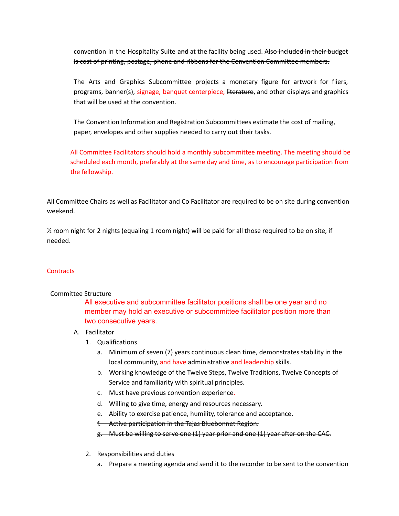convention in the Hospitality Suite and at the facility being used. Also included in their budget is cost of printing, postage, phone and ribbons for the Convention Committee members.

The Arts and Graphics Subcommittee projects a monetary figure for artwork for fliers, programs, banner(s), signage, banquet centerpiece, literature, and other displays and graphics that will be used at the convention.

The Convention Information and Registration Subcommittees estimate the cost of mailing, paper, envelopes and other supplies needed to carry out their tasks.

All Committee Facilitators should hold a monthly subcommittee meeting. The meeting should be scheduled each month, preferably at the same day and time, as to encourage participation from the fellowship.

All Committee Chairs as well as Facilitator and Co Facilitator are required to be on site during convention weekend.

½ room night for 2 nights (equaling 1 room night) will be paid for all those required to be on site, if needed.

## **Contracts**

## Committee Structure

All executive and subcommittee facilitator positions shall be one year and no member may hold an executive or subcommittee facilitator position more than two consecutive years.

## A. Facilitator

- 1. Qualifications
	- a. Minimum of seven (7) years continuous clean time, demonstrates stability in the local community, and have administrative and leadership skills.
	- b. Working knowledge of the Twelve Steps, Twelve Traditions, Twelve Concepts of Service and familiarity with spiritual principles.
	- c. Must have previous convention experience.
	- d. Willing to give time, energy and resources necessary.
	- e. Ability to exercise patience, humility, tolerance and acceptance.
	- f. Active participation in the Tejas Bluebonnet Region.

g. Must be willing to serve one (1) year prior and one (1) year after on the CAC.

- 2. Responsibilities and duties
	- a. Prepare a meeting agenda and send it to the recorder to be sent to the convention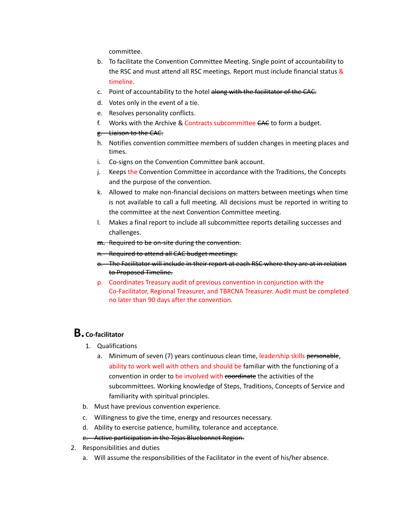committee.

- b. To facilitate the Convention Committee Meeting. Single point of accountability to the RSC and must attend all RSC meetings. Report must include financial status & timeline.
- c. Point of accountability to the hotel along with the facilitator of the CAC.
- d. Votes only in the event of a tie.
- e. Resolves personality conflicts.
- f. Works with the Archive & Contracts subcommittee CAC to form a budget.
- g. Liaison to the CAC.
- h. Notifies convention committee members of sudden changes in meeting places and times.
- i. Co-signs on the Convention Committee bank account.
- j. Keeps the Convention Committee in accordance with the Traditions, the Concepts and the purpose of the convention.
- k. Allowed to make non-financial decisions on matters between meetings when time is not available to call a full meeting. All decisions must be reported in writing to the committee at the next Convention Committee meeting.
- l. Makes a final report to include all subcommittee reports detailing successes and challenges.
- **m.** Required to be on-site during the convention.
- n. Required to attend all CAC budget meetings.
- o. The Facilitator will include in their report at each RSC where they are at in relation to Proposed Timeline.
- p. Coordinates Treasury audit of previous convention in conjunction with the Co-Facilitator, Regional Treasurer, and TBRCNA Treasurer. Audit must be completed no later than 90 days after the convention.

# **B.Co-facilitator**

- 1. Qualifications
	- a. Minimum of seven (7) years continuous clean time, leadership skills personable, ability to work well with others and should be familiar with the functioning of a convention in order to be involved with coordinate the activities of the subcommittees. Working knowledge of Steps, Traditions, Concepts of Service and familiarity with spiritual principles.
- b. Must have previous convention experience.
- c. Willingness to give the time, energy and resources necessary.
- d. Ability to exercise patience, humility, tolerance and acceptance.
- e. Active participation in the Tejas Bluebonnet Region.
- 2. Responsibilities and duties
	- a. Will assume the responsibilities of the Facilitator in the event of his/her absence.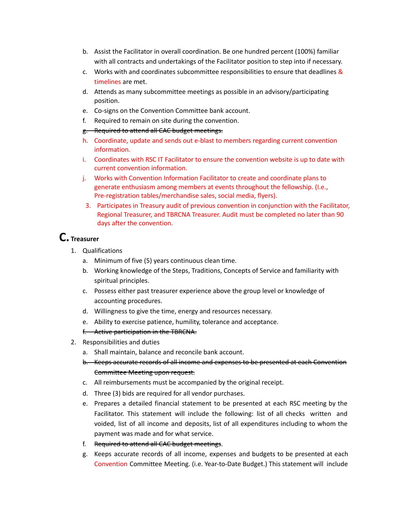- b. Assist the Facilitator in overall coordination. Be one hundred percent (100%) familiar with all contracts and undertakings of the Facilitator position to step into if necessary.
- c. Works with and coordinates subcommittee responsibilities to ensure that deadlines  $\&$ timelines are met.
- d. Attends as many subcommittee meetings as possible in an advisory/participating position.
- e. Co-signs on the Convention Committee bank account.
- f. Required to remain on site during the convention.
- g. Required to attend all CAC budget meetings.
- h. Coordinate, update and sends out e-blast to members regarding current convention information.
- i. Coordinates with RSC IT Facilitator to ensure the convention website is up to date with current convention information.
- j. Works with Convention Information Facilitator to create and coordinate plans to generate enthusiasm among members at events throughout the fellowship. (I.e., Pre-registration tables/merchandise sales, social media, flyers).
- 3. Participates in Treasury audit of previous convention in conjunction with the Facilitator, Regional Treasurer, and TBRCNA Treasurer. Audit must be completed no later than 90 days after the convention.

# **C. Treasurer**

- 1. Qualifications
	- a. Minimum of five (5) years continuous clean time.
	- b. Working knowledge of the Steps, Traditions, Concepts of Service and familiarity with spiritual principles.
	- c. Possess either past treasurer experience above the group level or knowledge of accounting procedures.
	- d. Willingness to give the time, energy and resources necessary.
	- e. Ability to exercise patience, humility, tolerance and acceptance.
	- f. Active participation in the TBRCNA.
- 2. Responsibilities and duties
	- a. Shall maintain, balance and reconcile bank account.
	- b. Keeps accurate records of all income and expenses to be presented at each Convention Committee Meeting upon request.
	- c. All reimbursements must be accompanied by the original receipt.
	- d. Three (3) bids are required for all vendor purchases.
	- e. Prepares a detailed financial statement to be presented at each RSC meeting by the Facilitator. This statement will include the following: list of all checks written and voided, list of all income and deposits, list of all expenditures including to whom the payment was made and for what service.
	- f. Required to attend all CAC budget meetings.
	- g. Keeps accurate records of all income, expenses and budgets to be presented at each Convention Committee Meeting. (i.e. Year-to-Date Budget.) This statement will include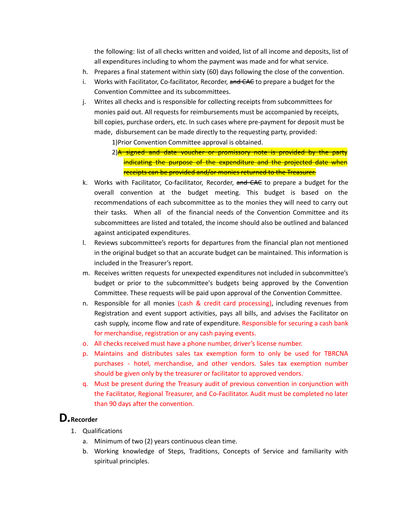the following: list of all checks written and voided, list of all income and deposits, list of all expenditures including to whom the payment was made and for what service.

- h. Prepares a final statement within sixty (60) days following the close of the convention.
- i. Works with Facilitator, Co-facilitator, Recorder, and CAC to prepare a budget for the Convention Committee and its subcommittees.
- j. Writes all checks and is responsible for collecting receipts from subcommittees for monies paid out. All requests for reimbursements must be accompanied by receipts, bill copies, purchase orders, etc. In such cases where pre-payment for deposit must be made, disbursement can be made directly to the requesting party, provided:

1)Prior Convention Committee approval is obtained.

- k. Works with Facilitator, Co-facilitator, Recorder, and CAC to prepare a budget for the overall convention at the budget meeting. This budget is based on the recommendations of each subcommittee as to the monies they will need to carry out their tasks. When all of the financial needs of the Convention Committee and its subcommittees are listed and totaled, the income should also be outlined and balanced against anticipated expenditures.
- l. Reviews subcommittee's reports for departures from the financial plan not mentioned in the original budget so that an accurate budget can be maintained. This information is included in the Treasurer's report.
- m. Receives written requests for unexpected expenditures not included in subcommittee's budget or prior to the subcommittee's budgets being approved by the Convention Committee. These requests will be paid upon approval of the Convention Committee.
- n. Responsible for all monies (cash & credit card processing), including revenues from Registration and event support activities, pays all bills, and advises the Facilitator on cash supply, income flow and rate of expenditure. Responsible for securing a cash bank for merchandise, registration or any cash paying events.
- o. All checks received must have a phone number, driver's license number.
- p. Maintains and distributes sales tax exemption form to only be used for TBRCNA purchases - hotel, merchandise, and other vendors. Sales tax exemption number should be given only by the treasurer or facilitator to approved vendors.
- q. Must be present during the Treasury audit of previous convention in conjunction with the Facilitator, Regional Treasurer, and Co-Facilitator. Audit must be completed no later than 90 days after the convention.

# **D.Recorder**

- 1. Qualifications
	- a. Minimum of two (2) years continuous clean time.
	- b. Working knowledge of Steps, Traditions, Concepts of Service and familiarity with spiritual principles.

<sup>2)</sup> $A$  signed and date voucher or promissory note is provided by the party indicating the purpose of the expenditure and the projected date when receipts can be provided and/or monies returned to the Treasurer.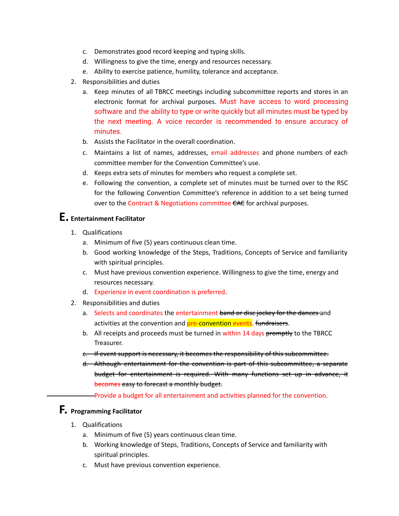- c. Demonstrates good record keeping and typing skills.
- d. Willingness to give the time, energy and resources necessary.
- e. Ability to exercise patience, humility, tolerance and acceptance.
- 2. Responsibilities and duties
	- a. Keep minutes of all TBRCC meetings including subcommittee reports and stores in an electronic format for archival purposes. Must have access to word processing software and the ability to type or write quickly but all minutes must be typed by the next meeting. A voice recorder is recommended to ensure accuracy of minutes.
	- b. Assists the Facilitator in the overall coordination.
	- c. Maintains a list of names, addresses, email addresses and phone numbers of each committee member for the Convention Committee's use.
	- d. Keeps extra sets of minutes for members who request a complete set.
	- e. Following the convention, a complete set of minutes must be turned over to the RSC for the following Convention Committee's reference in addition to a set being turned over to the Contract & Negotiations committee CAC for archival purposes.

## **E. Entertainment Facilitator**

- 1. Qualifications
	- a. Minimum of five (5) years continuous clean time.
	- b. Good working knowledge of the Steps, Traditions, Concepts of Service and familiarity with spiritual principles.
	- c. Must have previous convention experience. Willingness to give the time, energy and resources necessary.
	- d. Experience in event coordination is preferred.
- 2. Responsibilities and duties
	- a. Selects and coordinates the entertainment band or disc jockey for the dances and activities at the convention and **pre-convention events. fundraisers.**
	- b. All receipts and proceeds must be turned in within 14 days promptly to the TBRCC Treasurer.
	- c. If event support is necessary, it becomes the responsibility of this subcommittee.
	- d. Although entertainment for the convention is part of this subcommittee, a separate budget for entertainment is required. With many functions set up in advance, it becomes easy to forecast a monthly budget.

Provide a budget for all entertainment and activities planned for the convention.

## **F. Programming Facilitator**

- 1. Qualifications
	- a. Minimum of five (5) years continuous clean time.
	- b. Working knowledge of Steps, Traditions, Concepts of Service and familiarity with spiritual principles.
	- c. Must have previous convention experience.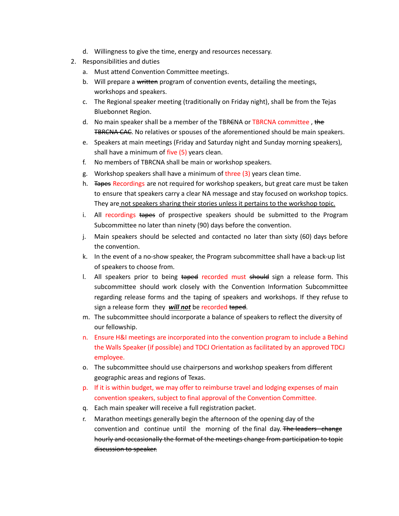- d. Willingness to give the time, energy and resources necessary.
- 2. Responsibilities and duties
	- a. Must attend Convention Committee meetings.
	- b. Will prepare a written program of convention events, detailing the meetings, workshops and speakers.
	- c. The Regional speaker meeting (traditionally on Friday night), shall be from the Tejas Bluebonnet Region.
	- d. No main speaker shall be a member of the TBRENA or TBRCNA committee, the **TBRCNA CAC.** No relatives or spouses of the aforementioned should be main speakers.
	- e. Speakers at main meetings (Friday and Saturday night and Sunday morning speakers), shall have a minimum of five (5) years clean.
	- f. No members of TBRCNA shall be main or workshop speakers.
	- g. Workshop speakers shall have a minimum of three (3) years clean time.
	- h. **Tapes Recordings are not required for workshop speakers, but great care must be taken** to ensure that speakers carry a clear NA message and stay focused on workshop topics. They are not speakers sharing their stories unless it pertains to the workshop topic.
	- i. All recordings tapes of prospective speakers should be submitted to the Program Subcommittee no later than ninety (90) days before the convention.
	- j. Main speakers should be selected and contacted no later than sixty (60) days before the convention.
	- k. In the event of a no-show speaker, the Program subcommittee shall have a back-up list of speakers to choose from.
	- l. All speakers prior to being taped recorded must should sign a release form. This subcommittee should work closely with the Convention Information Subcommittee regarding release forms and the taping of speakers and workshops. If they refuse to sign a release form they *will not* be recorded taped.
	- m. The subcommittee should incorporate a balance of speakers to reflect the diversity of our fellowship.
	- n. Ensure H&I meetings are incorporated into the convention program to include a Behind the Walls Speaker (if possible) and TDCJ Orientation as facilitated by an approved TDCJ employee.
	- o. The subcommittee should use chairpersons and workshop speakers from different geographic areas and regions of Texas.
	- p. If it is within budget, we may offer to reimburse travel and lodging expenses of main convention speakers, subject to final approval of the Convention Committee.
	- q. Each main speaker will receive a full registration packet.
	- r. Marathon meetings generally begin the afternoon of the opening day of the convention and continue until the morning of the final day. The leaders change hourly and occasionally the format of the meetings change from participation to topic discussion to speaker.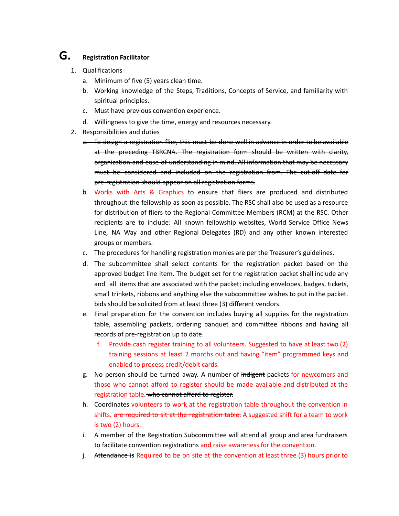# **G. Registration Facilitator**

- 1. Qualifications
	- a. Minimum of five (5) years clean time.
	- b. Working knowledge of the Steps, Traditions, Concepts of Service, and familiarity with spiritual principles.
	- c. Must have previous convention experience.
	- d. Willingness to give the time, energy and resources necessary.
- 2. Responsibilities and duties
	- a. To design a registration flier, this must be done well in advance in order to be available at the preceding TBRCNA. The registration form should be written with clarity, organization and ease of understanding in mind. All information that may be necessary must be considered and included on the registration from. The cut-off date for pre-registration should appear on all registration forms.
	- b. Works with Arts & Graphics to ensure that fliers are produced and distributed throughout the fellowship as soon as possible. The RSC shall also be used as a resource for distribution of fliers to the Regional Committee Members (RCM) at the RSC. Other recipients are to include: All known fellowship websites, World Service Office News Line, NA Way and other Regional Delegates (RD) and any other known interested groups or members.
	- c. The procedures for handling registration monies are per the Treasurer's guidelines.
	- d. The subcommittee shall select contents for the registration packet based on the approved budget line item. The budget set for the registration packet shall include any and all items that are associated with the packet; including envelopes, badges, tickets, small trinkets, ribbons and anything else the subcommittee wishes to put in the packet. bids should be solicited from at least three (3) different vendors.
	- e. Final preparation for the convention includes buying all supplies for the registration table, assembling packets, ordering banquet and committee ribbons and having all records of pre-registration up to date.
		- f. Provide cash register training to all volunteers. Suggested to have at least two (2) training sessions at least 2 months out and having "item" programmed keys and enabled to process credit/debit cards.
	- g. No person should be turned away. A number of indigent packets for newcomers and those who cannot afford to register should be made available and distributed at the registration table. who cannot afford to register.
	- h. Coordinates volunteers to work at the registration table throughout the convention in shifts. are required to sit at the registration table. A suggested shift for a team to work is two (2) hours.
	- i. A member of the Registration Subcommittee will attend all group and area fundraisers to facilitate convention registrations and raise awareness for the convention.
	- j. Attendance is Required to be on site at the convention at least three (3) hours prior to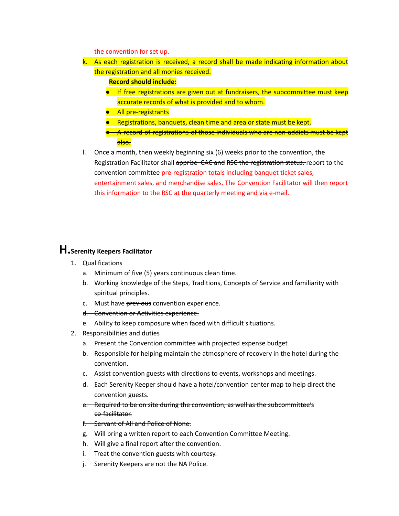the convention for set up.

- k. As each registration is received, a record shall be made indicating information about the registration and all monies received.
	- **Record should include:**
	- If free registrations are given out at fundraisers, the subcommittee must keep accurate records of what is provided and to whom.
	- All pre-registrants
	- Registrations, banquets, clean time and area or state must be kept.
	- A record of registrations of those individuals who are non-addicts must be kept a<del>lso.</del>
- l. Once a month, then weekly beginning six (6) weeks prior to the convention, the Registration Facilitator shall apprise CAC and RSC the registration status. report to the convention committee pre-registration totals including banquet ticket sales, entertainment sales, and merchandise sales. The Convention Facilitator will then report this information to the RSC at the quarterly meeting and via e-mail.

## **H.Serenity Keepers Facilitator**

- 1. Qualifications
	- a. Minimum of five (5) years continuous clean time.
	- b. Working knowledge of the Steps, Traditions, Concepts of Service and familiarity with spiritual principles.
	- c. Must have previous convention experience.
	- d. Convention or Activities experience.
	- e. Ability to keep composure when faced with difficult situations.
- 2. Responsibilities and duties
	- a. Present the Convention committee with projected expense budget
	- b. Responsible for helping maintain the atmosphere of recovery in the hotel during the convention.
	- c. Assist convention guests with directions to events, workshops and meetings.
	- d. Each Serenity Keeper should have a hotel/convention center map to help direct the convention guests.
	- e. Required to be on site during the convention, as well as the subcommittee's co-facilitator.
	- f. Servant of All and Police of None.
	- g. Will bring a written report to each Convention Committee Meeting.
	- h. Will give a final report after the convention.
	- i. Treat the convention guests with courtesy.
	- j. Serenity Keepers are not the NA Police.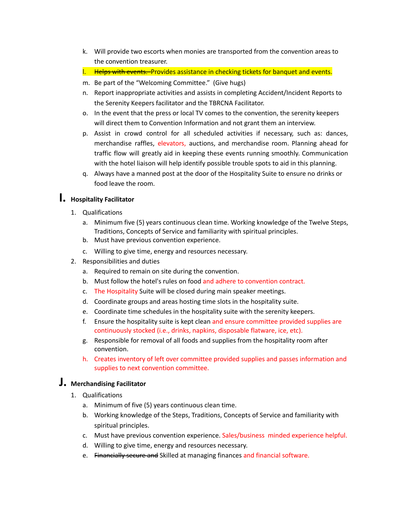- k. Will provide two escorts when monies are transported from the convention areas to the convention treasurer.
- l. Helps with events. Provides assistance in checking tickets for banquet and events.
- m. Be part of the "Welcoming Committee." (Give hugs)
- n. Report inappropriate activities and assists in completing Accident/Incident Reports to the Serenity Keepers facilitator and the TBRCNA Facilitator.
- o. In the event that the press or local TV comes to the convention, the serenity keepers will direct them to Convention Information and not grant them an interview.
- p. Assist in crowd control for all scheduled activities if necessary, such as: dances, merchandise raffles, elevators, auctions, and merchandise room. Planning ahead for traffic flow will greatly aid in keeping these events running smoothly. Communication with the hotel liaison will help identify possible trouble spots to aid in this planning.
- q. Always have a manned post at the door of the Hospitality Suite to ensure no drinks or food leave the room.

## **I. Hospitality Facilitator**

- 1. Qualifications
	- a. Minimum five (5) years continuous clean time. Working knowledge of the Twelve Steps, Traditions, Concepts of Service and familiarity with spiritual principles.
	- b. Must have previous convention experience.
	- c. Willing to give time, energy and resources necessary.
- 2. Responsibilities and duties
	- a. Required to remain on site during the convention.
	- b. Must follow the hotel's rules on food and adhere to convention contract.
	- c. The Hospitality Suite will be closed during main speaker meetings.
	- d. Coordinate groups and areas hosting time slots in the hospitality suite.
	- e. Coordinate time schedules in the hospitality suite with the serenity keepers.
	- f. Ensure the hospitality suite is kept clean and ensure committee provided supplies are continuously stocked (i.e., drinks, napkins, disposable flatware, ice, etc).
	- g. Responsible for removal of all foods and supplies from the hospitality room after convention.
	- h. Creates inventory of left over committee provided supplies and passes information and supplies to next convention committee.

## **J. Merchandising Facilitator**

- 1. Qualifications
	- a. Minimum of five (5) years continuous clean time.
	- b. Working knowledge of the Steps, Traditions, Concepts of Service and familiarity with spiritual principles.
	- c. Must have previous convention experience. Sales/business minded experience helpful.
	- d. Willing to give time, energy and resources necessary.
	- e. Financially secure and Skilled at managing finances and financial software.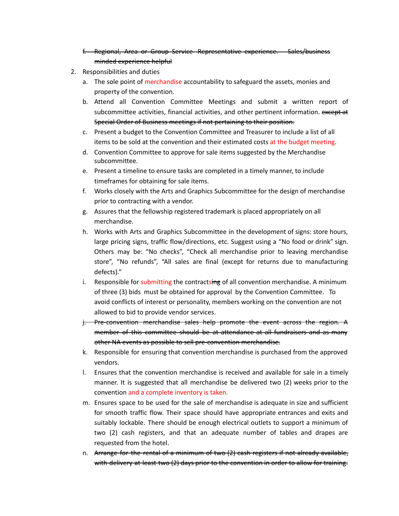## f. Regional, Area or Group Service Representative experience. Sales/business minded experience helpful

- 2. Responsibilities and duties
	- a. The sole point of merchandise accountability to safeguard the assets, monies and property of the convention.
	- b. Attend all Convention Committee Meetings and submit a written report of subcommittee activities, financial activities, and other pertinent information. except at Special Order of Business meetings if not pertaining to their position.
	- c. Present a budget to the Convention Committee and Treasurer to include a list of all items to be sold at the convention and their estimated costs at the budget meeting.
	- d. Convention Committee to approve for sale items suggested by the Merchandise subcommittee.
	- e. Present a timeline to ensure tasks are completed in a timely manner, to include timeframes for obtaining for sale items.
	- f. Works closely with the Arts and Graphics Subcommittee for the design of merchandise prior to contracting with a vendor.
	- g. Assures that the fellowship registered trademark is placed appropriately on all merchandise.
	- h. Works with Arts and Graphics Subcommittee in the development of signs: store hours, large pricing signs, traffic flow/directions, etc. Suggest using a "No food or drink" sign. Others may be: "No checks", "Check all merchandise prior to leaving merchandise store", "No refunds", "All sales are final (except for returns due to manufacturing defects)."
	- i. Responsible for submitting the contractsing of all convention merchandise. A minimum of three (3) bids must be obtained for approval by the Convention Committee. To avoid conflicts of interest or personality, members working on the convention are not allowed to bid to provide vendor services.
	- j. Pre-convention merchandise sales help promote the event across the region. A member of this committee should be at attendance at all fundraisers and as many other NA events as possible to sell pre-convention merchandise.
	- k. Responsible for ensuring that convention merchandise is purchased from the approved vendors.
	- l. Ensures that the convention merchandise is received and available for sale in a timely manner. It is suggested that all merchandise be delivered two (2) weeks prior to the convention and a complete inventory is taken.
	- m. Ensures space to be used for the sale of merchandise is adequate in size and sufficient for smooth traffic flow. Their space should have appropriate entrances and exits and suitably lockable. There should be enough electrical outlets to support a minimum of two (2) cash registers, and that an adequate number of tables and drapes are requested from the hotel.
	- n. Arrange for the rental of a minimum of two (2) cash registers if not already available, with delivery at least two (2) days prior to the convention in order to allow for training.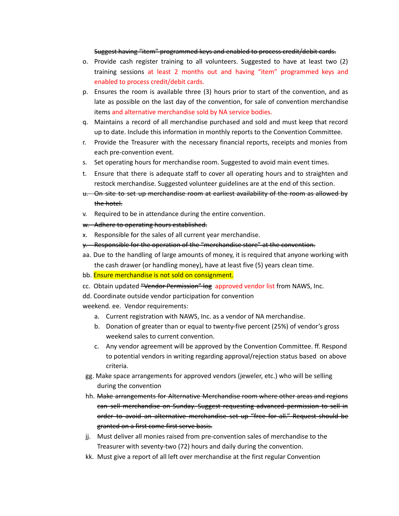#### Suggest having "item" programmed keys and enabled to process credit/debit cards.

- o. Provide cash register training to all volunteers. Suggested to have at least two (2) training sessions at least 2 months out and having "item" programmed keys and enabled to process credit/debit cards.
- p. Ensures the room is available three (3) hours prior to start of the convention, and as late as possible on the last day of the convention, for sale of convention merchandise items and alternative merchandise sold by NA service bodies.
- q. Maintains a record of all merchandise purchased and sold and must keep that record up to date. Include this information in monthly reports to the Convention Committee.
- r. Provide the Treasurer with the necessary financial reports, receipts and monies from each pre-convention event.
- s. Set operating hours for merchandise room. Suggested to avoid main event times.
- t. Ensure that there is adequate staff to cover all operating hours and to straighten and restock merchandise. Suggested volunteer guidelines are at the end of this section.
- u. On site to set up merchandise room at earliest availability of the room as allowed by the hotel.
- v. Required to be in attendance during the entire convention.
- w. Adhere to operating hours established.
- x. Responsible for the sales of all current year merchandise.
- y. Responsible for the operation of the "merchandise store" at the convention.
- aa. Due to the handling of large amounts of money, it is required that anyone working with the cash drawer (or handling money), have at least five (5) years clean time.
- bb. **Ensure merchandise is not sold on consignment.**
- cc. Obtain updated "Vendor Permission" log approved vendor list from NAWS, Inc.
- dd. Coordinate outside vendor participation for convention
- weekend. ee. Vendor requirements:
	- a. Current registration with NAWS, Inc. as a vendor of NA merchandise.
	- b. Donation of greater than or equal to twenty-five percent (25%) of vendor's gross weekend sales to current convention.
	- c. Any vendor agreement will be approved by the Convention Committee. ff. Respond to potential vendors in writing regarding approval/rejection status based on above criteria.
- gg. Make space arrangements for approved vendors (jeweler, etc.) who will be selling during the convention
- hh. Make arrangements for Alternative Merchandise room where other areas and regions can sell merchandise on Sunday. Suggest requesting advanced permission to sell in order to avoid an alternative merchandise set up "free for all." Request should be granted on a first come first serve basis.
- jj. Must deliver all monies raised from pre-convention sales of merchandise to the Treasurer with seventy-two (72) hours and daily during the convention.
- kk. Must give a report of all left over merchandise at the first regular Convention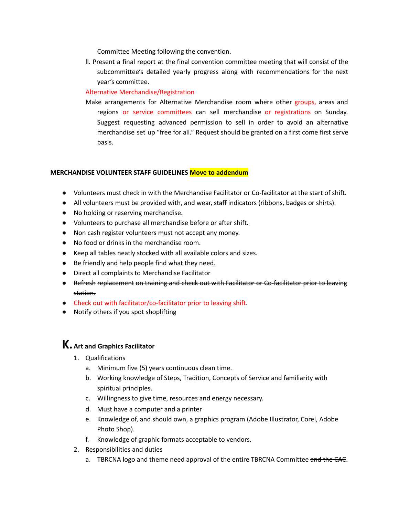Committee Meeting following the convention.

ll. Present a final report at the final convention committee meeting that will consist of the subcommittee's detailed yearly progress along with recommendations for the next year's committee.

## Alternative Merchandise/Registration

Make arrangements for Alternative Merchandise room where other groups, areas and regions or service committees can sell merchandise or registrations on Sunday. Suggest requesting advanced permission to sell in order to avoid an alternative merchandise set up "free for all." Request should be granted on a first come first serve basis.

## **MERCHANDISE VOLUNTEER STAFF GUIDELINES Move to addendum**

- Volunteers must check in with the Merchandise Facilitator or Co-facilitator at the start of shift.
- All volunteers must be provided with, and wear, staff indicators (ribbons, badges or shirts).
- No holding or reserving merchandise.
- Volunteers to purchase all merchandise before or after shift.
- Non cash register volunteers must not accept any money.
- No food or drinks in the merchandise room.
- Keep all tables neatly stocked with all available colors and sizes.
- Be friendly and help people find what they need.
- Direct all complaints to Merchandise Facilitator
- Refresh replacement on training and check out with Facilitator or Co-facilitator prior to leaving station.
- Check out with facilitator/co-facilitator prior to leaving shift.
- Notify others if you spot shoplifting

## **K. Art and Graphics Facilitator**

- 1. Qualifications
	- a. Minimum five (5) years continuous clean time.
	- b. Working knowledge of Steps, Tradition, Concepts of Service and familiarity with spiritual principles.
	- c. Willingness to give time, resources and energy necessary.
	- d. Must have a computer and a printer
	- e. Knowledge of, and should own, a graphics program (Adobe Illustrator, Corel, Adobe Photo Shop).
	- f. Knowledge of graphic formats acceptable to vendors.
- 2. Responsibilities and duties
	- a. TBRCNA logo and theme need approval of the entire TBRCNA Committee and the CAC.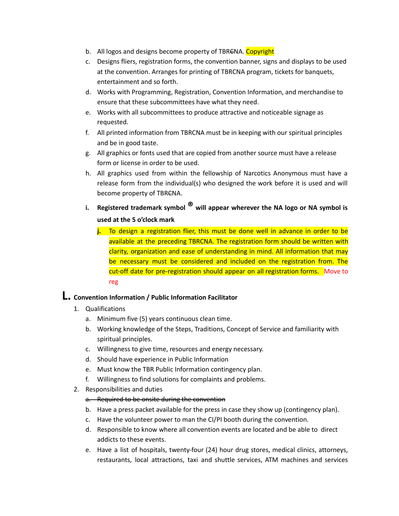- b. All logos and designs become property of TBRENA. Copyright
- c. Designs fliers, registration forms, the convention banner, signs and displays to be used at the convention. Arranges for printing of TBRCNA program, tickets for banquets, entertainment and so forth.
- d. Works with Programming, Registration, Convention Information, and merchandise to ensure that these subcommittees have what they need.
- e. Works with all subcommittees to produce attractive and noticeable signage as requested.
- f. All printed information from TBRCNA must be in keeping with our spiritual principles and be in good taste.
- g. All graphics or fonts used that are copied from another source must have a release form or license in order to be used.
- h. All graphics used from within the fellowship of Narcotics Anonymous must have a release form from the individual(s) who designed the work before it is used and will become property of TBR<del>C</del>NA.
- **i. Registered trademark symbol ® will appear wherever the NA logo or NA symbol is used at the 5 o'clock mark**
	- **j.** To design a registration flier, this must be done well in advance in order to be available at the preceding TBRCNA. The registration form should be written with clarity, organization and ease of understanding in mind. All information that may be necessary must be considered and included on the registration from. The cut-off date for pre-registration should appear on all registration forms. Move to reg

## **L. Convention Information / Public Information Facilitator**

- 1. Qualifications
	- a. Minimum five (5) years continuous clean time.
	- b. Working knowledge of the Steps, Traditions, Concept of Service and familiarity with spiritual principles.
	- c. Willingness to give time, resources and energy necessary.
	- d. Should have experience in Public Information
	- e. Must know the TBR Public Information contingency plan.
	- f. Willingness to find solutions for complaints and problems.
- 2. Responsibilities and duties

## a. Required to be onsite during the convention

- b. Have a press packet available for the press in case they show up (contingency plan).
- c. Have the volunteer power to man the CI/PI booth during the convention.
- d. Responsible to know where all convention events are located and be able to direct addicts to these events.
- e. Have a list of hospitals, twenty-four (24) hour drug stores, medical clinics, attorneys, restaurants, local attractions, taxi and shuttle services, ATM machines and services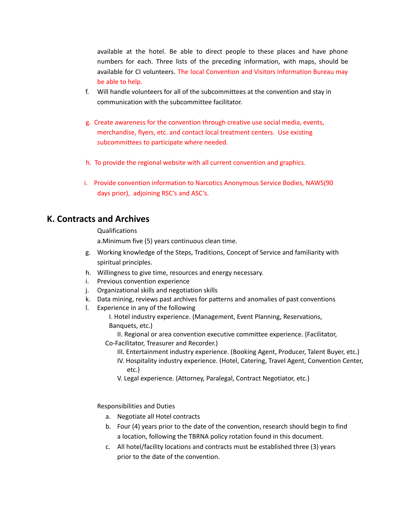available at the hotel. Be able to direct people to these places and have phone numbers for each. Three lists of the preceding information, with maps, should be available for CI volunteers. The local Convention and Visitors Information Bureau may be able to help.

- f. Will handle volunteers for all of the subcommittees at the convention and stay in communication with the subcommittee facilitator.
- g. Create awareness for the convention through creative use social media, events, merchandise, flyers, etc. and contact local treatment centers. Use existing subcommittees to participate where needed.
- h. To provide the regional website with all current convention and graphics.
- i. Provide convention information to Narcotics Anonymous Service Bodies, NAWS(90 days prior), adjoining RSC's and ASC's.

## **K. Contracts and Archives**

## Qualifications

a.Minimum five (5) years continuous clean time.

- g. Working knowledge of the Steps, Traditions, Concept of Service and familiarity with spiritual principles.
- h. Willingness to give time, resources and energy necessary.
- i. Previous convention experience
- j. Organizational skills and negotiation skills
- k. Data mining, reviews past archives for patterns and anomalies of past conventions
- l. Experience in any of the following
	- I. Hotel industry experience. (Management, Event Planning, Reservations, Banquets, etc.)
	- II. Regional or area convention executive committee experience. (Facilitator, Co-Facilitator, Treasurer and Recorder.)
		- III. Entertainment industry experience. (Booking Agent, Producer, Talent Buyer, etc.)
		- IV. Hospitality industry experience. (Hotel, Catering, Travel Agent, Convention Center, etc.)
		- V. Legal experience. (Attorney, Paralegal, Contract Negotiator, etc.)

Responsibilities and Duties

- a. Negotiate all Hotel contracts
- b. Four (4) years prior to the date of the convention, research should begin to find a location, following the TBRNA policy rotation found in this document.
- c. All hotel/facility locations and contracts must be established three (3) years prior to the date of the convention.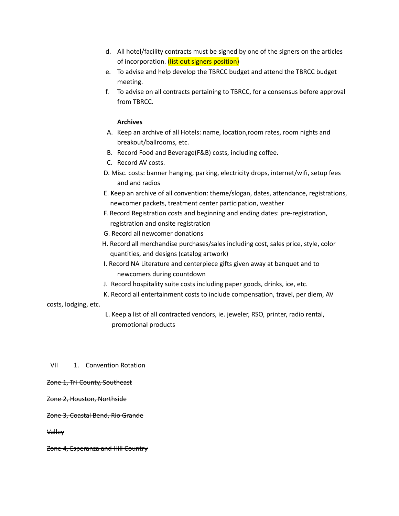- d. All hotel/facility contracts must be signed by one of the signers on the articles of incorporation. (list out signers position)
- e. To advise and help develop the TBRCC budget and attend the TBRCC budget meeting.
- f. To advise on all contracts pertaining to TBRCC, for a consensus before approval from TBRCC.

## **Archives**

- A. Keep an archive of all Hotels: name, location,room rates, room nights and breakout/ballrooms, etc.
- B. Record Food and Beverage(F&B) costs, including coffee.
- C. Record AV costs.
- D. Misc. costs: banner hanging, parking, electricity drops, internet/wifi, setup fees and and radios
- E. Keep an archive of all convention: theme/slogan, dates, attendance, registrations, newcomer packets, treatment center participation, weather
- F. Record Registration costs and beginning and ending dates: pre-registration, registration and onsite registration
- G. Record all newcomer donations
- H. Record all merchandise purchases/sales including cost, sales price, style, color quantities, and designs (catalog artwork)
- I. Record NA Literature and centerpiece gifts given away at banquet and to newcomers during countdown
- J. Record hospitality suite costs including paper goods, drinks, ice, etc.
- K. Record all entertainment costs to include compensation, travel, per diem, AV

## costs, lodging, etc.

L. Keep a list of all contracted vendors, ie. jeweler, RSO, printer, radio rental, promotional products

## VII 1. Convention Rotation

## Zone 1, Tri-County, Southeast

## Zone 2, Houston, Northside

## Zone 3, Coastal Bend, Rio Grande

Valley

Zone 4, Esperanza and Hill Country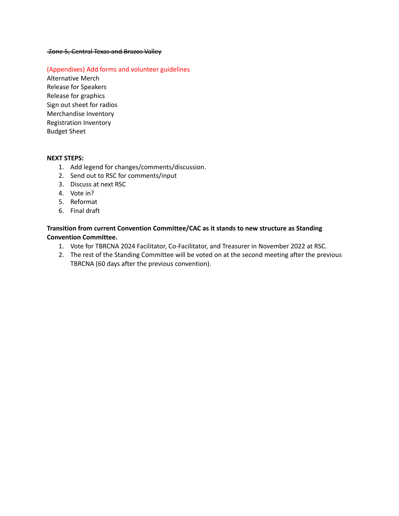#### Zone 5, Central Texas and Brazos Valley

### (Appendixes) Add forms and volunteer guidelines

Alternative Merch Release for Speakers Release for graphics Sign out sheet for radios Merchandise Inventory Registration Inventory Budget Sheet

#### **NEXT STEPS:**

- 1. Add legend for changes/comments/discussion.
- 2. Send out to RSC for comments/input
- 3. Discuss at next RSC
- 4. Vote in?
- 5. Reformat
- 6. Final draft

## **Transition from current Convention Committee/CAC as it stands to new structure as Standing Convention Committee.**

- 1. Vote for TBRCNA 2024 Facilitator, Co-Facilitator, and Treasurer in November 2022 at RSC.
- 2. The rest of the Standing Committee will be voted on at the second meeting after the previous TBRCNA (60 days after the previous convention).